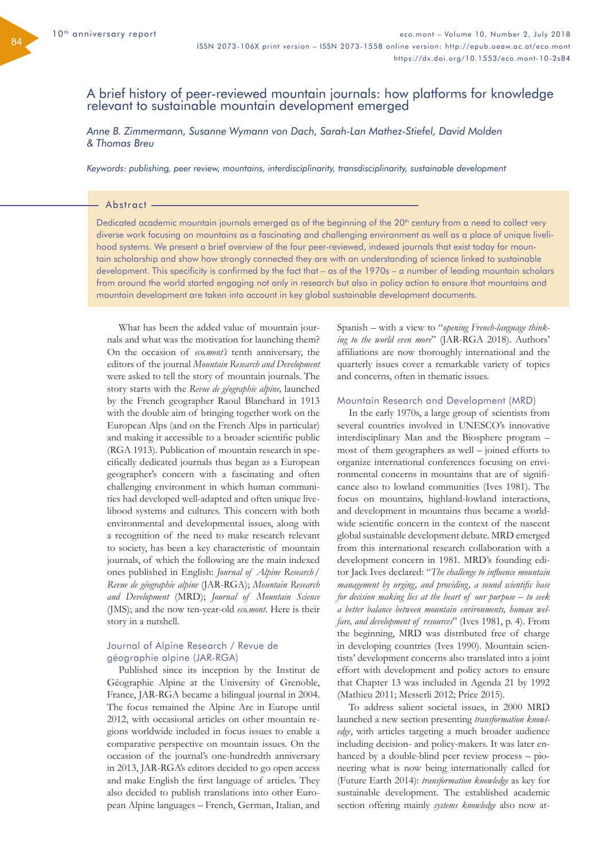# A brief history of peer-reviewed mountain journals: how platforms for knowledge relevant to sustainable mountain development emerged

*Anne B. Zimmermann, Susanne Wymann von Dach, Sarah-Lan Mathez-Stiefel, David Molden & Thomas Breu*

*Keywords: publishing, peer review, mountains, interdisciplinarity, transdisciplinarity, sustainable development*

### Abstract -

Dedicated academic mountain journals emerged as of the beginning of the 20<sup>th</sup> century from a need to collect very diverse work focusing on mountains as a fascinating and challenging environment as well as a place of unique livelihood systems. We present a brief overview of the four peer-reviewed, indexed journals that exist today for mountain scholarship and show how strongly connected they are with an understanding of science linked to sustainable development. This specificity is confirmed by the fact that – as of the 1970s – a number of leading mountain scholars from around the world started engaging not only in research but also in policy action to ensure that mountains and mountain development are taken into account in key global sustainable development documents.

What has been the added value of mountain journals and what was the motivation for launching them? On the occasion of *eco.mont's* tenth anniversary, the editors of the journal *Mountain Research and Development*  were asked to tell the story of mountain journals. The story starts with the *Revue de géographie alpine,* launched by the French geographer Raoul Blanchard in 1913 with the double aim of bringing together work on the European Alps (and on the French Alps in particular) and making it accessible to a broader scientific public (RGA 1913). Publication of mountain research in specifically dedicated journals thus began as a European geographer's concern with a fascinating and often challenging environment in which human communities had developed well-adapted and often unique livelihood systems and cultures. This concern with both environmental and developmental issues, along with a recognition of the need to make research relevant to society, has been a key characteristic of mountain journals, of which the following are the main indexed ones published in English: *Journal of Alpine Research / Revue de géographie alpine* (JAR-RGA); *Mountain Research and Development* (MRD); *Journal of Mountain Science* (JMS); and the now ten-year-old *eco.mont*. Here is their story in a nutshell.

# Journal of Alpine Research / Revue de géographie alpine (JAR-RGA)

Published since its inception by the Institut de Géographie Alpine at the University of Grenoble, France, JAR-RGA became a bilingual journal in 2004. The focus remained the Alpine Arc in Europe until 2012, with occasional articles on other mountain regions worldwide included in focus issues to enable a comparative perspective on mountain issues. On the occasion of the journal's one-hundredth anniversary in 2013, JAR-RGA's editors decided to go open access and make English the first language of articles. They also decided to publish translations into other European Alpine languages – French, German, Italian, and

Spanish – with a view to "*opening French-language thinking to the world even more*" (JAR-RGA 2018). Authors' affiliations are now thoroughly international and the quarterly issues cover a remarkable variety of topics and concerns, often in thematic issues.

#### Mountain Research and Development (MRD)

In the early 1970s, a large group of scientists from several countries involved in UNESCO's innovative interdisciplinary Man and the Biosphere program – most of them geographers as well – joined efforts to organize international conferences focusing on environmental concerns in mountains that are of significance also to lowland communities (Ives 1981). The focus on mountains, highland-lowland interactions, and development in mountains thus became a worldwide scientific concern in the context of the nascent global sustainable development debate. MRD emerged from this international research collaboration with a development concern in 1981. MRD's founding editor Jack Ives declared: "*The challenge to influence mountain management by urging, and providing, a sound scientific base for decision making lies at the heart of our purpose – to seek a better balance between mountain environments, human welfare, and development of resources*" (Ives 1981, p. 4). From the beginning, MRD was distributed free of charge in developing countries (Ives 1990). Mountain scientists' development concerns also translated into a joint effort with development and policy actors to ensure that Chapter 13 was included in Agenda 21 by 1992 (Mathieu 2011; Messerli 2012; Price 2015).

To address salient societal issues, in 2000 MRD launched a new section presenting *transformation knowledge*, with articles targeting a much broader audience including decision- and policy-makers. It was later enhanced by a double-blind peer review process – pioneering what is now being internationally called for (Future Earth 2014): *transformation knowledge* as key for sustainable development. The established academic section offering mainly *systems knowledge* also now at-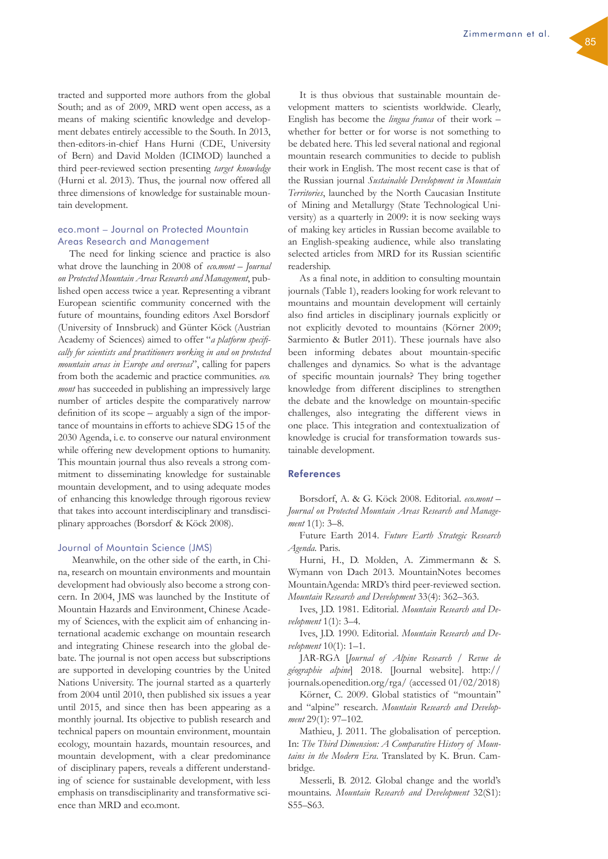tracted and supported more authors from the global South; and as of 2009, MRD went open access, as a means of making scientific knowledge and development debates entirely accessible to the South. In 2013, then-editors-in-chief Hans Hurni (CDE, University of Bern) and David Molden (ICIMOD) launched a third peer-reviewed section presenting *target knowledge* (Hurni et al. 2013). Thus, the journal now offered all three dimensions of knowledge for sustainable mountain development.

# eco.mont – Journal on Protected Mountain Areas Research and Management

The need for linking science and practice is also what drove the launching in 2008 of *eco.mont – Journal on Protected Mountain Areas Research and Management*, published open access twice a year. Representing a vibrant European scientific community concerned with the future of mountains, founding editors Axel Borsdorf (University of Innsbruck) and Günter Köck (Austrian Academy of Sciences) aimed to offer "*a platform specifically for scientists and practitioners working in and on protected mountain areas in Europe and overseas*", calling for papers from both the academic and practice communities. *eco. mont* has succeeded in publishing an impressively large number of articles despite the comparatively narrow definition of its scope – arguably a sign of the importance of mountains in efforts to achieve SDG 15 of the 2030 Agenda, i. e. to conserve our natural environment while offering new development options to humanity. This mountain journal thus also reveals a strong commitment to disseminating knowledge for sustainable mountain development, and to using adequate modes of enhancing this knowledge through rigorous review that takes into account interdisciplinary and transdisciplinary approaches (Borsdorf & Köck 2008).

## Journal of Mountain Science (JMS)

 Meanwhile, on the other side of the earth, in China, research on mountain environments and mountain development had obviously also become a strong concern. In 2004, JMS was launched by the Institute of Mountain Hazards and Environment, Chinese Academy of Sciences, with the explicit aim of enhancing international academic exchange on mountain research and integrating Chinese research into the global debate. The journal is not open access but subscriptions are supported in developing countries by the United Nations University. The journal started as a quarterly from 2004 until 2010, then published six issues a year until 2015, and since then has been appearing as a monthly journal. Its objective to publish research and technical papers on mountain environment, mountain ecology, mountain hazards, mountain resources, and mountain development, with a clear predominance of disciplinary papers, reveals a different understanding of science for sustainable development, with less emphasis on transdisciplinarity and transformative science than MRD and eco.mont.

It is thus obvious that sustainable mountain development matters to scientists worldwide. Clearly, English has become the *lingua franca* of their work – whether for better or for worse is not something to be debated here. This led several national and regional mountain research communities to decide to publish their work in English. The most recent case is that of the Russian journal *Sustainable Development in Mountain Territories*, launched by the North Caucasian Institute of Mining and Metallurgy (State Technological University) as a quarterly in 2009: it is now seeking ways of making key articles in Russian become available to an English-speaking audience, while also translating selected articles from MRD for its Russian scientific readership.

As a final note, in addition to consulting mountain journals (Table 1), readers looking for work relevant to mountains and mountain development will certainly also find articles in disciplinary journals explicitly or not explicitly devoted to mountains (Körner 2009; Sarmiento & Butler 2011). These journals have also been informing debates about mountain-specific challenges and dynamics. So what is the advantage of specific mountain journals? They bring together knowledge from different disciplines to strengthen the debate and the knowledge on mountain-specific challenges, also integrating the different views in one place. This integration and contextualization of knowledge is crucial for transformation towards sustainable development.

### References

Borsdorf, A. & G. Köck 2008. Editorial. *eco.mont* – *Journal on Protected Mountain Areas Research and Management* 1(1): 3–8.

Future Earth 2014. *Future Earth Strategic Research Agenda.* Paris.

Hurni, H., D. Molden, A. Zimmermann & S. Wymann von Dach 2013. MountainNotes becomes MountainAgenda: MRD's third peer-reviewed section. *Mountain Research and Development* 33(4): 362–363.

Ives, J.D. 1981. Editorial. *Mountain Research and Development* 1(1): 3–4.

Ives, J.D. 1990. Editorial. *Mountain Research and Development* 10(1): 1–1.

JAR-RGA [*Journal of Alpine Research / Revue de géographie alpine*] 2018. [Journal website]. [http://](http://journals.openedition.org/rga/) [journals.openedition.org/rga/](http://journals.openedition.org/rga/) (accessed 01/02/2018)

Körner, C. 2009. Global statistics of "mountain" and "alpine" research. *Mountain Research and Development* 29(1): 97–102.

Mathieu, J. 2011. The globalisation of perception. In: *The Third Dimension: A Comparative History of Mountains in the Modern Era*. Translated by K. Brun. Cambridge.

Messerli, B. 2012. Global change and the world's mountains. *Mountain Research and Development* 32(S1): S55–S63.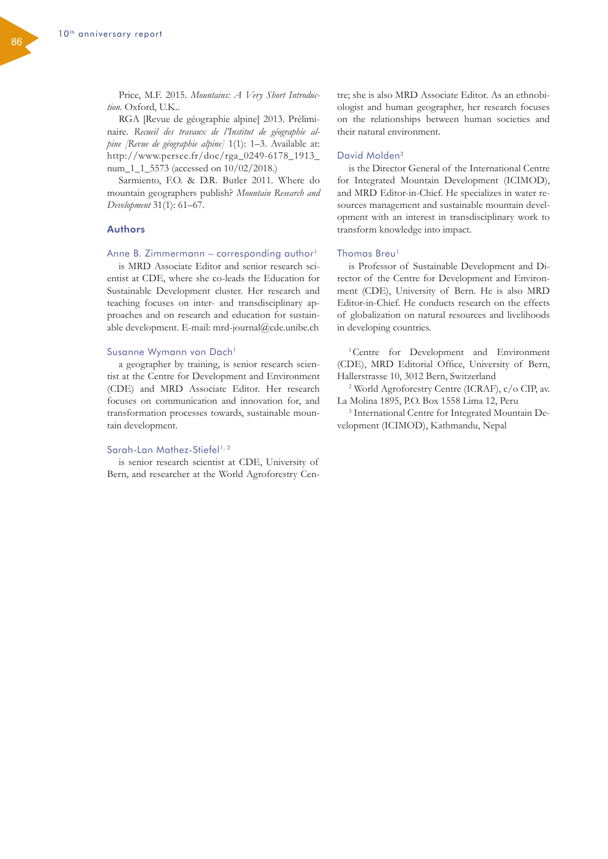Price, M.F. 2015. *Mountains: A Very Short Introduction.* Oxford, U.K..

RGA [Revue de géographie alpine] 2013. Préliminaire. *Recueil des travaux de l'Institut de géographie alpine [Revue de géographie alpine]* 1(1): 1–3. Available at: [http://www.persee.fr/doc/rga\\_0249-6178\\_1913\\_](http://www.persee.fr/doc/rga_0249-6178_1913_num_1_1_5573) [num\\_1\\_1\\_5573](http://www.persee.fr/doc/rga_0249-6178_1913_num_1_1_5573) (accessed on 10/02/2018.)

Sarmiento, F.O. & D.R. Butler 2011. Where do mountain geographers publish? *Mountain Research and Development* 31(1): 61–67.

# Authors

# Anne B. Zimmermann – corresponding author<sup>1</sup>

is MRD Associate Editor and senior research scientist at CDE, where she co-leads the Education for Sustainable Development cluster. Her research and teaching focuses on inter- and transdisciplinary approaches and on research and education for sustainable development. E-mail: [mrd-journal@cde.unibe.ch](mailto:mrd-journal%40cde.unibe.ch?subject=) 

#### Susanne Wymann von Dach<sup>1</sup>

a geographer by training, is senior research scientist at the Centre for Development and Environment (CDE) and MRD Associate Editor. Her research focuses on communication and innovation for, and transformation processes towards, sustainable mountain development.

#### Sarah-Lan Mathez-Stiefel<sup>1, 2</sup>

is senior research scientist at CDE, University of Bern, and researcher at the World Agroforestry Cen-

tre; she is also MRD Associate Editor. As an ethnobiologist and human geographer, her research focuses on the relationships between human societies and their natural environment.

### David Molden3

is the Director General of the International Centre for Integrated Mountain Development (ICIMOD), and MRD Editor-in-Chief. He specializes in water resources management and sustainable mountain development with an interest in transdisciplinary work to transform knowledge into impact.

### Thomas Breu<sup>1</sup>

is Professor of Sustainable Development and Director of the Centre for Development and Environment (CDE), University of Bern. He is also MRD Editor-in-Chief. He conducts research on the effects of globalization on natural resources and livelihoods in developing countries.

1Centre for Development and Environment (CDE), MRD Editorial Office, University of Bern, Hallerstrasse 10, 3012 Bern, Switzerland

2 World Agroforestry Centre (ICRAF), c/o CIP, av. La Molina 1895, P.O. Box 1558 Lima 12, Peru

3 International Centre for Integrated Mountain Development (ICIMOD), Kathmandu, Nepal